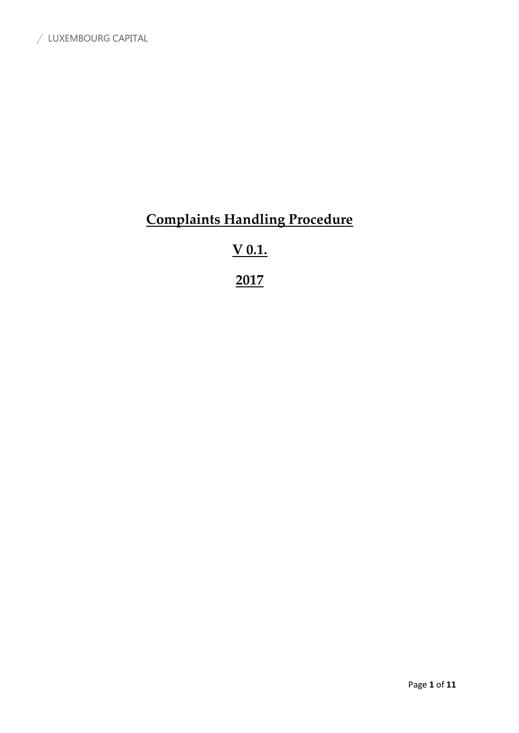# **Complaints Handling Procedure**

# **V 0.1.**

**2017**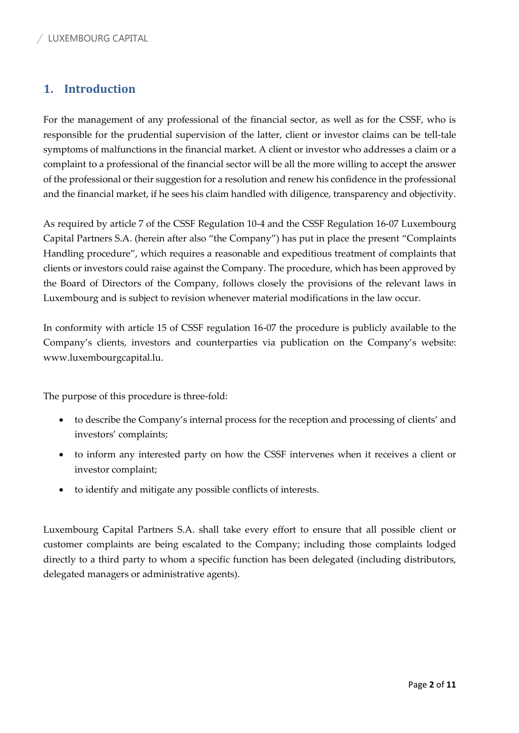## **1. Introduction**

For the management of any professional of the financial sector, as well as for the CSSF, who is responsible for the prudential supervision of the latter, client or investor claims can be tell-tale symptoms of malfunctions in the financial market. A client or investor who addresses a claim or a complaint to a professional of the financial sector will be all the more willing to accept the answer of the professional or their suggestion for a resolution and renew his confidence in the professional and the financial market, if he sees his claim handled with diligence, transparency and objectivity.

As required by article 7 of the CSSF Regulation 10-4 and the CSSF Regulation 16-07 Luxembourg Capital Partners S.A. (herein after also "the Company") has put in place the present "Complaints Handling procedure", which requires a reasonable and expeditious treatment of complaints that clients or investors could raise against the Company. The procedure, which has been approved by the Board of Directors of the Company, follows closely the provisions of the relevant laws in Luxembourg and is subject to revision whenever material modifications in the law occur.

In conformity with article 15 of CSSF regulation 16-07 the procedure is publicly available to the Company's clients, investors and counterparties via publication on the Company's website: www.luxembourgcapital.lu.

The purpose of this procedure is three-fold:

- to describe the Company's internal process for the reception and processing of clients' and investors' complaints;
- to inform any interested party on how the CSSF intervenes when it receives a client or investor complaint;
- to identify and mitigate any possible conflicts of interests.

Luxembourg Capital Partners S.A. shall take every effort to ensure that all possible client or customer complaints are being escalated to the Company; including those complaints lodged directly to a third party to whom a specific function has been delegated (including distributors, delegated managers or administrative agents).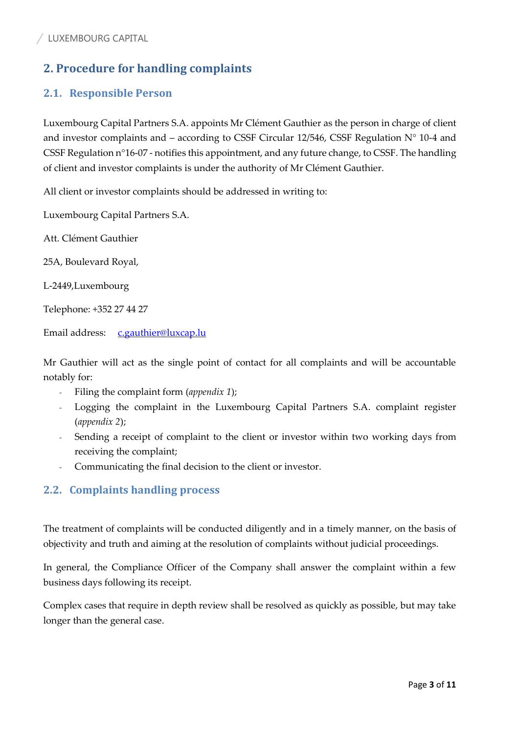# **2. Procedure for handling complaints**

## **2.1. Responsible Person**

Luxembourg Capital Partners S.A. appoints Mr Clément Gauthier as the person in charge of client and investor complaints and – according to CSSF Circular 12/546, CSSF Regulation  $N^{\circ}$  10-4 and CSSF Regulation n°16-07 - notifies this appointment, and any future change, to CSSF. The handling of client and investor complaints is under the authority of Mr Clément Gauthier.

All client or investor complaints should be addressed in writing to:

Luxembourg Capital Partners S.A.

Att. Clément Gauthier

25A, Boulevard Royal,

L-2449,Luxembourg

Telephone: +352 27 44 27

Email address: [c.gauthier@luxcap.lu](mailto:c.gauthier@luxcap.lu)

Mr Gauthier will act as the single point of contact for all complaints and will be accountable notably for:

- Filing the complaint form (*appendix 1*);
- Logging the complaint in the Luxembourg Capital Partners S.A. complaint register (*appendix 2*);
- Sending a receipt of complaint to the client or investor within two working days from receiving the complaint;
- Communicating the final decision to the client or investor.

### **2.2. Complaints handling process**

The treatment of complaints will be conducted diligently and in a timely manner, on the basis of objectivity and truth and aiming at the resolution of complaints without judicial proceedings.

In general, the Compliance Officer of the Company shall answer the complaint within a few business days following its receipt.

Complex cases that require in depth review shall be resolved as quickly as possible, but may take longer than the general case.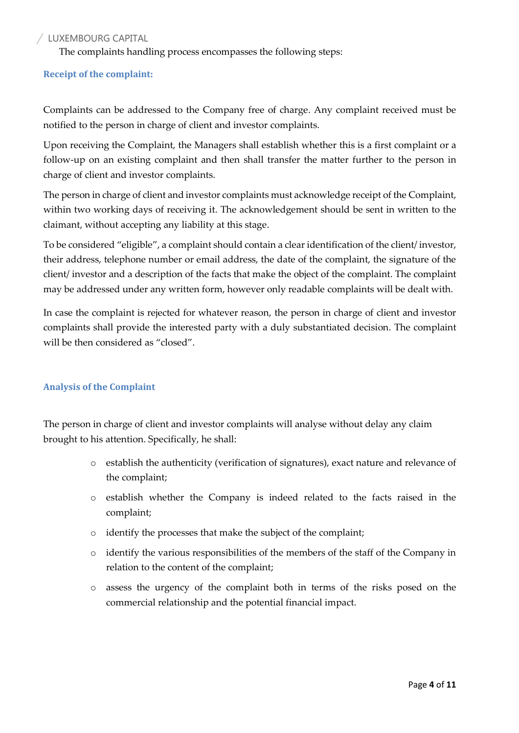The complaints handling process encompasses the following steps:

#### **Receipt of the complaint:**

Complaints can be addressed to the Company free of charge. Any complaint received must be notified to the person in charge of client and investor complaints.

Upon receiving the Complaint, the Managers shall establish whether this is a first complaint or a follow-up on an existing complaint and then shall transfer the matter further to the person in charge of client and investor complaints.

The person in charge of client and investor complaints must acknowledge receipt of the Complaint, within two working days of receiving it. The acknowledgement should be sent in written to the claimant, without accepting any liability at this stage.

To be considered "eligible", a complaint should contain a clear identification of the client/ investor, their address, telephone number or email address, the date of the complaint, the signature of the client/ investor and a description of the facts that make the object of the complaint. The complaint may be addressed under any written form, however only readable complaints will be dealt with.

In case the complaint is rejected for whatever reason, the person in charge of client and investor complaints shall provide the interested party with a duly substantiated decision. The complaint will be then considered as "closed".

#### **Analysis of the Complaint**

The person in charge of client and investor complaints will analyse without delay any claim brought to his attention. Specifically, he shall:

- o establish the authenticity (verification of signatures), exact nature and relevance of the complaint;
- o establish whether the Company is indeed related to the facts raised in the complaint;
- o identify the processes that make the subject of the complaint;
- o identify the various responsibilities of the members of the staff of the Company in relation to the content of the complaint;
- o assess the urgency of the complaint both in terms of the risks posed on the commercial relationship and the potential financial impact.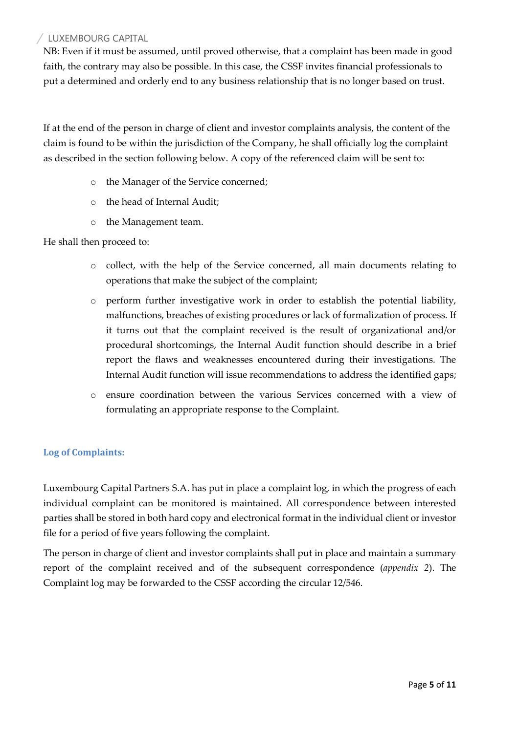NB: Even if it must be assumed, until proved otherwise, that a complaint has been made in good faith, the contrary may also be possible. In this case, the CSSF invites financial professionals to put a determined and orderly end to any business relationship that is no longer based on trust.

If at the end of the person in charge of client and investor complaints analysis, the content of the claim is found to be within the jurisdiction of the Company, he shall officially log the complaint as described in the section following below. A copy of the referenced claim will be sent to:

- o the Manager of the Service concerned;
- o the head of Internal Audit;
- o the Management team.

#### He shall then proceed to:

- o collect, with the help of the Service concerned, all main documents relating to operations that make the subject of the complaint;
- o perform further investigative work in order to establish the potential liability, malfunctions, breaches of existing procedures or lack of formalization of process. If it turns out that the complaint received is the result of organizational and/or procedural shortcomings, the Internal Audit function should describe in a brief report the flaws and weaknesses encountered during their investigations. The Internal Audit function will issue recommendations to address the identified gaps;
- o ensure coordination between the various Services concerned with a view of formulating an appropriate response to the Complaint.

#### **Log of Complaints:**

Luxembourg Capital Partners S.A. has put in place a complaint log, in which the progress of each individual complaint can be monitored is maintained. All correspondence between interested parties shall be stored in both hard copy and electronical format in the individual client or investor file for a period of five years following the complaint.

The person in charge of client and investor complaints shall put in place and maintain a summary report of the complaint received and of the subsequent correspondence (*appendix 2*). The Complaint log may be forwarded to the CSSF according the circular 12/546.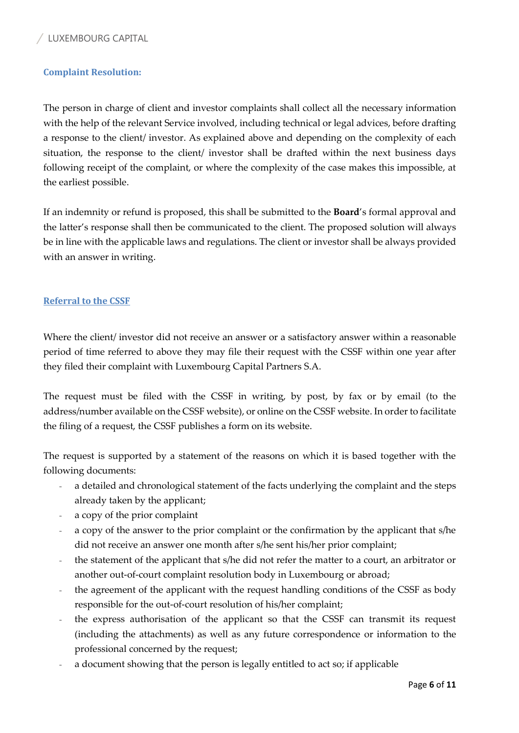#### **Complaint Resolution:**

The person in charge of client and investor complaints shall collect all the necessary information with the help of the relevant Service involved, including technical or legal advices, before drafting a response to the client/ investor. As explained above and depending on the complexity of each situation, the response to the client/ investor shall be drafted within the next business days following receipt of the complaint, or where the complexity of the case makes this impossible, at the earliest possible.

If an indemnity or refund is proposed, this shall be submitted to the **Board**'s formal approval and the latter's response shall then be communicated to the client. The proposed solution will always be in line with the applicable laws and regulations. The client or investor shall be always provided with an answer in writing.

#### **Referral to the CSSF**

Where the client/ investor did not receive an answer or a satisfactory answer within a reasonable period of time referred to above they may file their request with the CSSF within one year after they filed their complaint with Luxembourg Capital Partners S.A.

The request must be filed with the CSSF in writing, by post, by fax or by email (to the address/number available on the CSSF website), or online on the CSSF website. In order to facilitate the filing of a request, the CSSF publishes a form on its website.

The request is supported by a statement of the reasons on which it is based together with the following documents:

- a detailed and chronological statement of the facts underlying the complaint and the steps already taken by the applicant;
- a copy of the prior complaint
- a copy of the answer to the prior complaint or the confirmation by the applicant that s/he did not receive an answer one month after s/he sent his/her prior complaint;
- the statement of the applicant that s/he did not refer the matter to a court, an arbitrator or another out-of-court complaint resolution body in Luxembourg or abroad;
- the agreement of the applicant with the request handling conditions of the CSSF as body responsible for the out-of-court resolution of his/her complaint;
- the express authorisation of the applicant so that the CSSF can transmit its request (including the attachments) as well as any future correspondence or information to the professional concerned by the request;
- a document showing that the person is legally entitled to act so; if applicable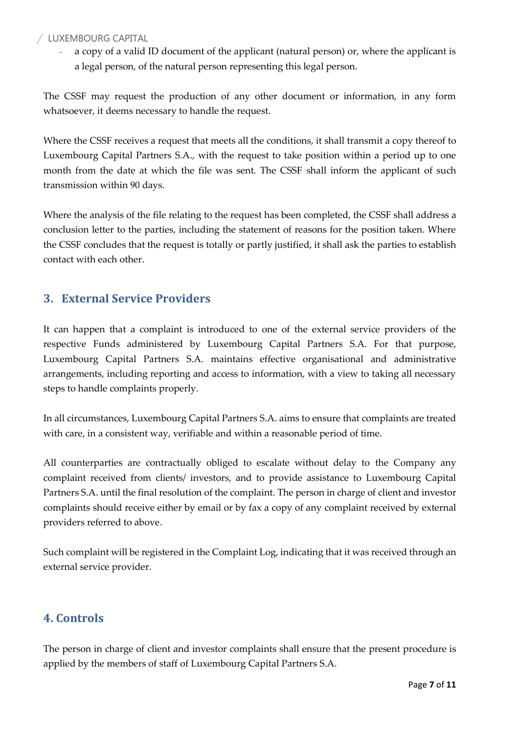a copy of a valid ID document of the applicant (natural person) or, where the applicant is a legal person, of the natural person representing this legal person.

The CSSF may request the production of any other document or information, in any form whatsoever, it deems necessary to handle the request.

Where the CSSF receives a request that meets all the conditions, it shall transmit a copy thereof to Luxembourg Capital Partners S.A., with the request to take position within a period up to one month from the date at which the file was sent. The CSSF shall inform the applicant of such transmission within 90 days.

Where the analysis of the file relating to the request has been completed, the CSSF shall address a conclusion letter to the parties, including the statement of reasons for the position taken. Where the CSSF concludes that the request is totally or partly justified, it shall ask the parties to establish contact with each other.

## **3. External Service Providers**

It can happen that a complaint is introduced to one of the external service providers of the respective Funds administered by Luxembourg Capital Partners S.A. For that purpose, Luxembourg Capital Partners S.A. maintains effective organisational and administrative arrangements, including reporting and access to information, with a view to taking all necessary steps to handle complaints properly.

In all circumstances, Luxembourg Capital Partners S.A. aims to ensure that complaints are treated with care, in a consistent way, verifiable and within a reasonable period of time.

All counterparties are contractually obliged to escalate without delay to the Company any complaint received from clients/ investors, and to provide assistance to Luxembourg Capital Partners S.A. until the final resolution of the complaint. The person in charge of client and investor complaints should receive either by email or by fax a copy of any complaint received by external providers referred to above.

Such complaint will be registered in the Complaint Log, indicating that it was received through an external service provider.

### **4. Controls**

The person in charge of client and investor complaints shall ensure that the present procedure is applied by the members of staff of Luxembourg Capital Partners S.A.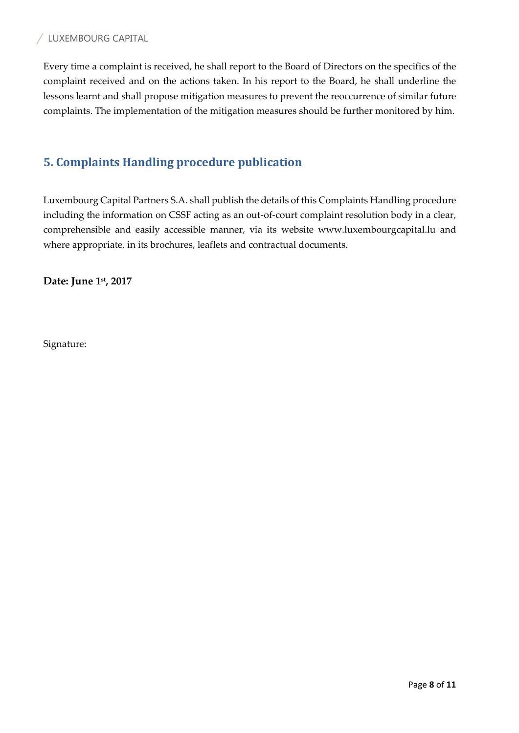Every time a complaint is received, he shall report to the Board of Directors on the specifics of the complaint received and on the actions taken. In his report to the Board, he shall underline the lessons learnt and shall propose mitigation measures to prevent the reoccurrence of similar future complaints. The implementation of the mitigation measures should be further monitored by him.

## **5. Complaints Handling procedure publication**

Luxembourg Capital Partners S.A. shall publish the details of this Complaints Handling procedure including the information on CSSF acting as an out-of-court complaint resolution body in a clear, comprehensible and easily accessible manner, via its website www.luxembourgcapital.lu and where appropriate, in its brochures, leaflets and contractual documents.

**Date: June 1st, 2017**

Signature: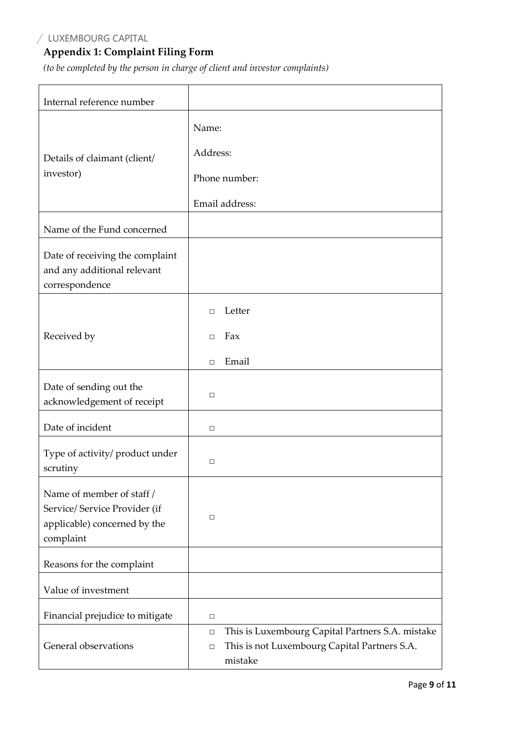# **Appendix 1: Complaint Filing Form**

*(to be completed by the person in charge of client and investor complaints)*

| Internal reference number                                                                               |                                                                                                                                 |  |  |  |  |  |
|---------------------------------------------------------------------------------------------------------|---------------------------------------------------------------------------------------------------------------------------------|--|--|--|--|--|
|                                                                                                         | Name:                                                                                                                           |  |  |  |  |  |
| Details of claimant (client/<br>investor)                                                               | Address:                                                                                                                        |  |  |  |  |  |
|                                                                                                         | Phone number:                                                                                                                   |  |  |  |  |  |
|                                                                                                         | Email address:                                                                                                                  |  |  |  |  |  |
| Name of the Fund concerned                                                                              |                                                                                                                                 |  |  |  |  |  |
| Date of receiving the complaint<br>and any additional relevant<br>correspondence                        |                                                                                                                                 |  |  |  |  |  |
|                                                                                                         | Letter<br>П                                                                                                                     |  |  |  |  |  |
| Received by                                                                                             | Fax<br>П.                                                                                                                       |  |  |  |  |  |
|                                                                                                         | Email<br>$\Box$                                                                                                                 |  |  |  |  |  |
| Date of sending out the<br>acknowledgement of receipt                                                   | □                                                                                                                               |  |  |  |  |  |
| Date of incident                                                                                        | $\Box$                                                                                                                          |  |  |  |  |  |
| Type of activity/ product under<br>scrutiny                                                             | □                                                                                                                               |  |  |  |  |  |
| Name of member of staff /<br>Service/ Service Provider (if<br>applicable) concerned by the<br>complaint | $\Box$                                                                                                                          |  |  |  |  |  |
| Reasons for the complaint                                                                               |                                                                                                                                 |  |  |  |  |  |
| Value of investment                                                                                     |                                                                                                                                 |  |  |  |  |  |
| Financial prejudice to mitigate                                                                         | $\Box$                                                                                                                          |  |  |  |  |  |
| General observations                                                                                    | This is Luxembourg Capital Partners S.A. mistake<br>$\Box$<br>This is not Luxembourg Capital Partners S.A.<br>$\Box$<br>mistake |  |  |  |  |  |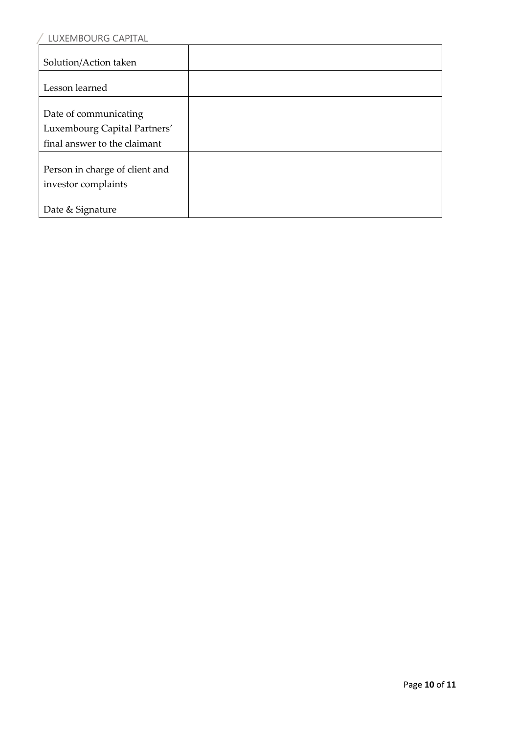| LUXEMBOURG CAPITAL                                    |  |
|-------------------------------------------------------|--|
| Solution/Action taken                                 |  |
| Lesson learned                                        |  |
| Date of communicating<br>Luxembourg Capital Partners' |  |
| final answer to the claimant                          |  |
| Person in charge of client and<br>investor complaints |  |
| Date & Signature                                      |  |